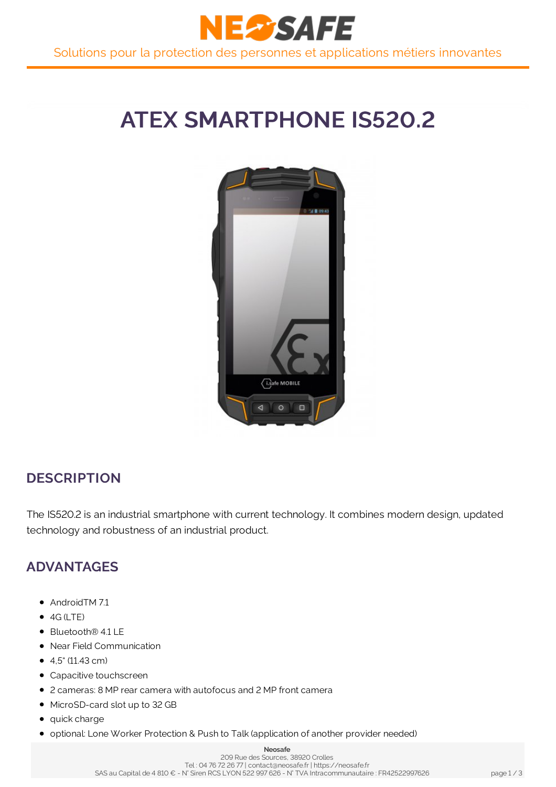

# **ATEX SMARTPHONE IS520.2**



### **DESCRIPTION**

The IS520.2 is an industrial smartphone with current technology. It combines modern design, updated technology and robustness of an industrial product.

### **ADVANTAGES**

- AndroidTM 7.1
- $\bullet$  4G (LTE)
- Bluetooth® 4.1 LE
- Near Field Communication
- $\bullet$  4.5" (11.43 cm)
- Capacitive touchscreen
- 2 cameras: 8 MP rear camera with autofocus and 2 MP front camera
- MicroSD-card slot up to 32 GB
- quick charge
- **optional: Lone Worker Protection & Push to Talk (application of another provider needed)**

#### **Neosafe**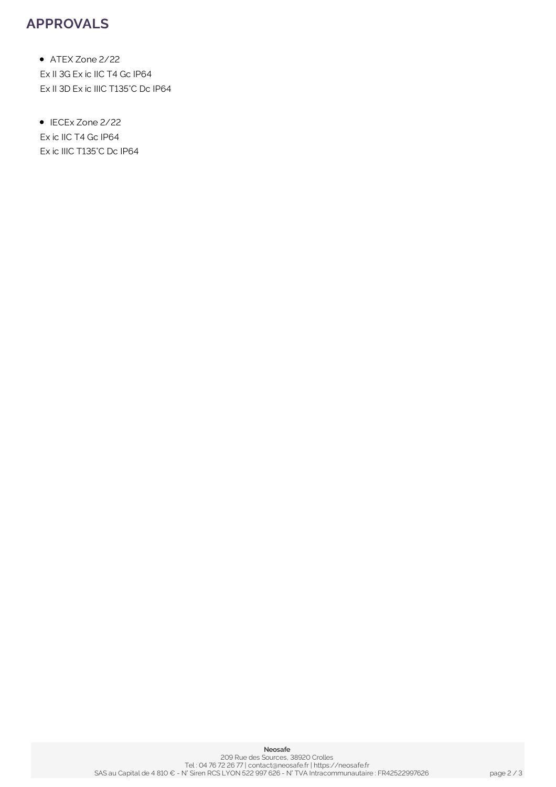### **APPROVALS**

ATEX Zone 2/22 Ex II 3G Ex ic IIC T4 Gc IP64 Ex II 3D Ex ic IIIC T135°C Dc IP64

• IECEx Zone 2/22 Ex ic IIC T4 Gc IP64 Ex ic IIIC T135°C Dc IP64